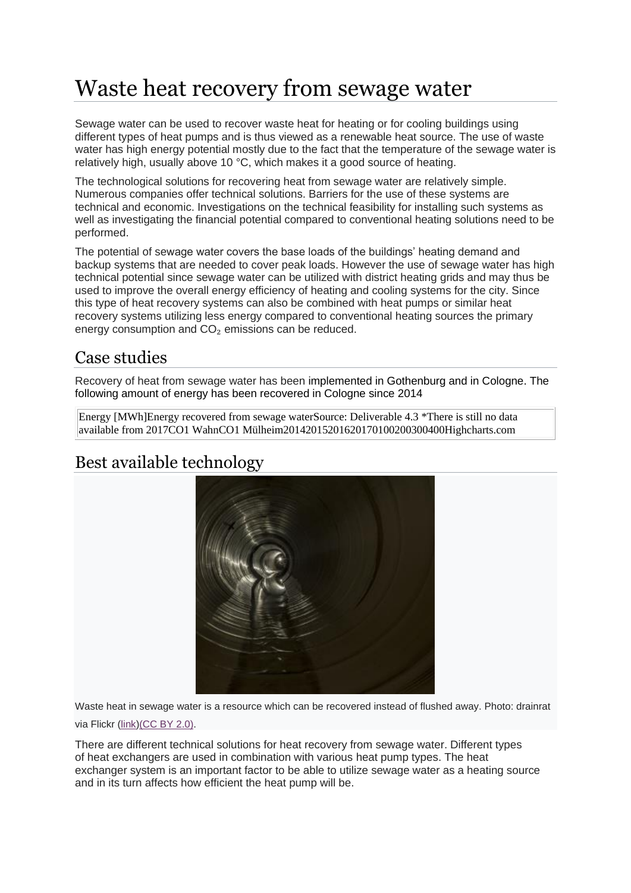# Waste heat recovery from sewage water

Sewage water can be used to recover waste heat for heating or for cooling buildings using different types of heat pumps and is thus viewed as a renewable heat source. The use of waste water has high energy potential mostly due to the fact that the temperature of the sewage water is relatively high, usually above 10 °C, which makes it a good source of heating.

The technological solutions for recovering heat from sewage water are relatively simple. Numerous companies offer technical solutions. Barriers for the use of these systems are technical and economic. Investigations on the technical feasibility for installing such systems as well as investigating the financial potential compared to conventional heating solutions need to be performed.

The potential of sewage water covers the base loads of the buildings' heating demand and backup systems that are needed to cover peak loads. However the use of sewage water has high technical potential since sewage water can be utilized with district heating grids and may thus be used to improve the overall energy efficiency of heating and cooling systems for the city. Since this type of heat recovery systems can also be combined with heat pumps or similar heat recovery systems utilizing less energy compared to conventional heating sources the primary energy consumption and CO<sub>2</sub> emissions can be reduced.

# Case studies

Recovery of heat from sewage water has been implemented in Gothenburg and in Cologne. The following amount of energy has been recovered in Cologne since 2014

Energy [MWh]Energy recovered from sewage waterSource: Deliverable 4.3 \*There is still no data available from 2017CO1 WahnCO1 Mülheim20142015201620170100200300400Highcharts.com

# Best available technology



Waste heat in sewage water is a resource which can be recovered instead of flushed away. Photo: drainrat via Flickr [\(link\)](https://www.flickr.com/photos/drainrat/13504649875/)[\(CC](https://creativecommons.org/licenses/by/2.0/) BY 2.0).

There are different technical solutions for heat recovery from sewage water. Different types of heat exchangers are used in combination with various heat pump types. The heat exchanger system is an important factor to be able to utilize sewage water as a heating source and in its turn affects how efficient the heat pump will be.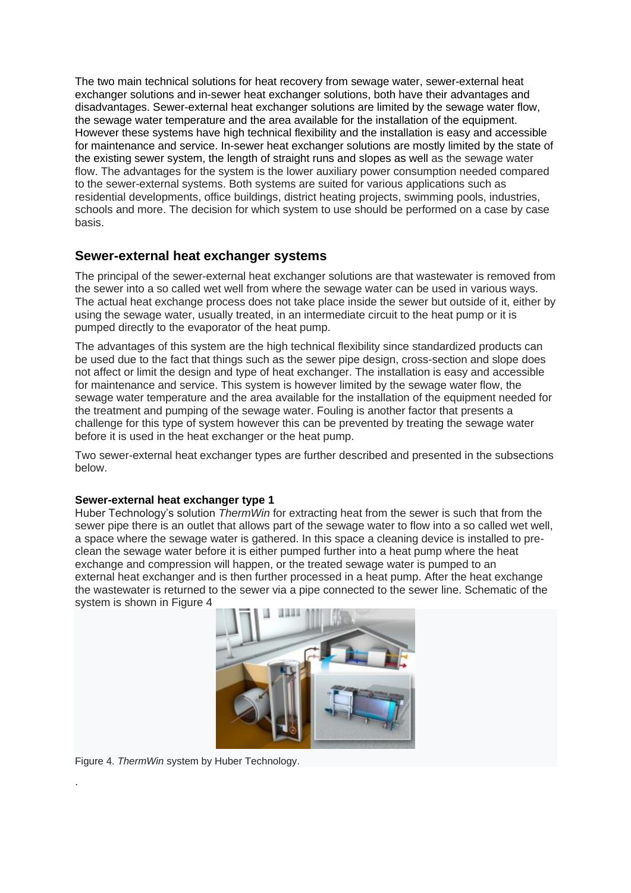The two main technical solutions for heat recovery from sewage water, sewer-external heat exchanger solutions and in-sewer heat exchanger solutions, both have their advantages and disadvantages. Sewer-external heat exchanger solutions are limited by the sewage water flow, the sewage water temperature and the area available for the installation of the equipment. However these systems have high technical flexibility and the installation is easy and accessible for maintenance and service. In-sewer heat exchanger solutions are mostly limited by the state of the existing sewer system, the length of straight runs and slopes as well as the sewage water flow. The advantages for the system is the lower auxiliary power consumption needed compared to the sewer-external systems. Both systems are suited for various applications such as residential developments, office buildings, district heating projects, swimming pools, industries, schools and more. The decision for which system to use should be performed on a case by case basis.

### **Sewer-external heat exchanger systems**

The principal of the sewer-external heat exchanger solutions are that wastewater is removed from the sewer into a so called wet well from where the sewage water can be used in various ways. The actual heat exchange process does not take place inside the sewer but outside of it, either by using the sewage water, usually treated, in an intermediate circuit to the heat pump or it is pumped directly to the evaporator of the heat pump.

The advantages of this system are the high technical flexibility since standardized products can be used due to the fact that things such as the sewer pipe design, cross-section and slope does not affect or limit the design and type of heat exchanger. The installation is easy and accessible for maintenance and service. This system is however limited by the sewage water flow, the sewage water temperature and the area available for the installation of the equipment needed for the treatment and pumping of the sewage water. Fouling is another factor that presents a challenge for this type of system however this can be prevented by treating the sewage water before it is used in the heat exchanger or the heat pump.

Two sewer-external heat exchanger types are further described and presented in the subsections below.

#### **Sewer-external heat exchanger type 1**

Huber Technology's solution *ThermWin* for extracting heat from the sewer is such that from the sewer pipe there is an outlet that allows part of the sewage water to flow into a so called wet well, a space where the sewage water is gathered. In this space a cleaning device is installed to preclean the sewage water before it is either pumped further into a heat pump where the heat exchange and compression will happen, or the treated sewage water is pumped to an external heat exchanger and is then further processed in a heat pump. After the heat exchange the wastewater is returned to the sewer via a pipe connected to the sewer line. Schematic of the system is shown in Figure 4



Figure 4. *ThermWin* system by Huber Technology.

.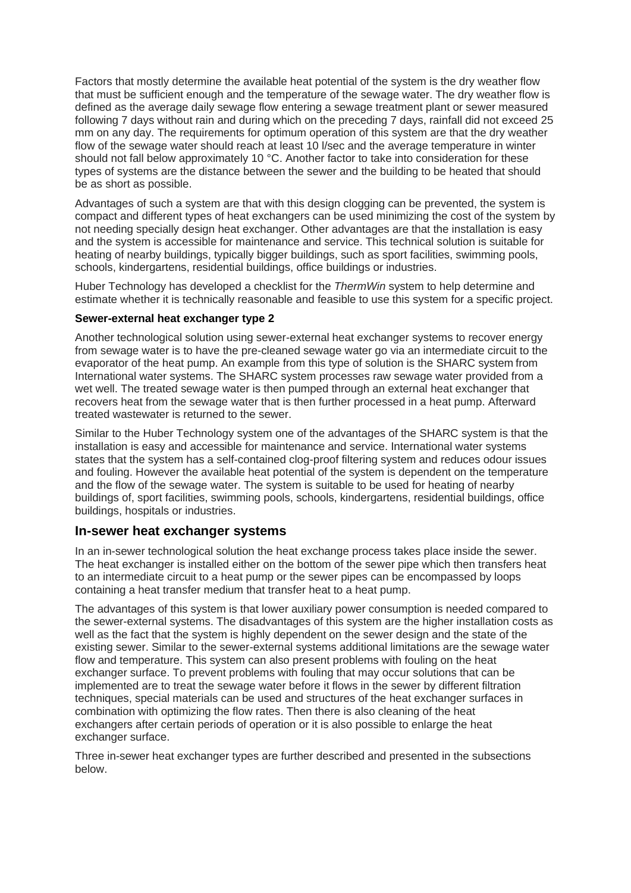Factors that mostly determine the available heat potential of the system is the dry weather flow that must be sufficient enough and the temperature of the sewage water. The dry weather flow is defined as the average daily sewage flow entering a sewage treatment plant or sewer measured following 7 days without rain and during which on the preceding 7 days, rainfall did not exceed 25 mm on any day. The requirements for optimum operation of this system are that the dry weather flow of the sewage water should reach at least 10 l/sec and the average temperature in winter should not fall below approximately 10 °C. Another factor to take into consideration for these types of systems are the distance between the sewer and the building to be heated that should be as short as possible.

Advantages of such a system are that with this design clogging can be prevented, the system is compact and different types of heat exchangers can be used minimizing the cost of the system by not needing specially design heat exchanger. Other advantages are that the installation is easy and the system is accessible for maintenance and service. This technical solution is suitable for heating of nearby buildings, typically bigger buildings, such as sport facilities, swimming pools, schools, kindergartens, residential buildings, office buildings or industries.

Huber Technology has developed a checklist for the *ThermWin* system to help determine and estimate whether it is technically reasonable and feasible to use this system for a specific project.

#### **Sewer-external heat exchanger type 2**

Another technological solution using sewer-external heat exchanger systems to recover energy from sewage water is to have the pre-cleaned sewage water go via an intermediate circuit to the evaporator of the heat pump. An example from this type of solution is the SHARC system from International water systems. The SHARC system processes raw sewage water provided from a wet well. The treated sewage water is then pumped through an external heat exchanger that recovers heat from the sewage water that is then further processed in a heat pump. Afterward treated wastewater is returned to the sewer.

Similar to the Huber Technology system one of the advantages of the SHARC system is that the installation is easy and accessible for maintenance and service. International water systems states that the system has a self-contained clog-proof filtering system and reduces odour issues and fouling. However the available heat potential of the system is dependent on the temperature and the flow of the sewage water. The system is suitable to be used for heating of nearby buildings of, sport facilities, swimming pools, schools, kindergartens, residential buildings, office buildings, hospitals or industries.

#### **In-sewer heat exchanger systems**

In an in-sewer technological solution the heat exchange process takes place inside the sewer. The heat exchanger is installed either on the bottom of the sewer pipe which then transfers heat to an intermediate circuit to a heat pump or the sewer pipes can be encompassed by loops containing a heat transfer medium that transfer heat to a heat pump.

The advantages of this system is that lower auxiliary power consumption is needed compared to the sewer-external systems. The disadvantages of this system are the higher installation costs as well as the fact that the system is highly dependent on the sewer design and the state of the existing sewer. Similar to the sewer-external systems additional limitations are the sewage water flow and temperature. This system can also present problems with fouling on the heat exchanger surface. To prevent problems with fouling that may occur solutions that can be implemented are to treat the sewage water before it flows in the sewer by different filtration techniques, special materials can be used and structures of the heat exchanger surfaces in combination with optimizing the flow rates. Then there is also cleaning of the heat exchangers after certain periods of operation or it is also possible to enlarge the heat exchanger surface.

Three in-sewer heat exchanger types are further described and presented in the subsections below.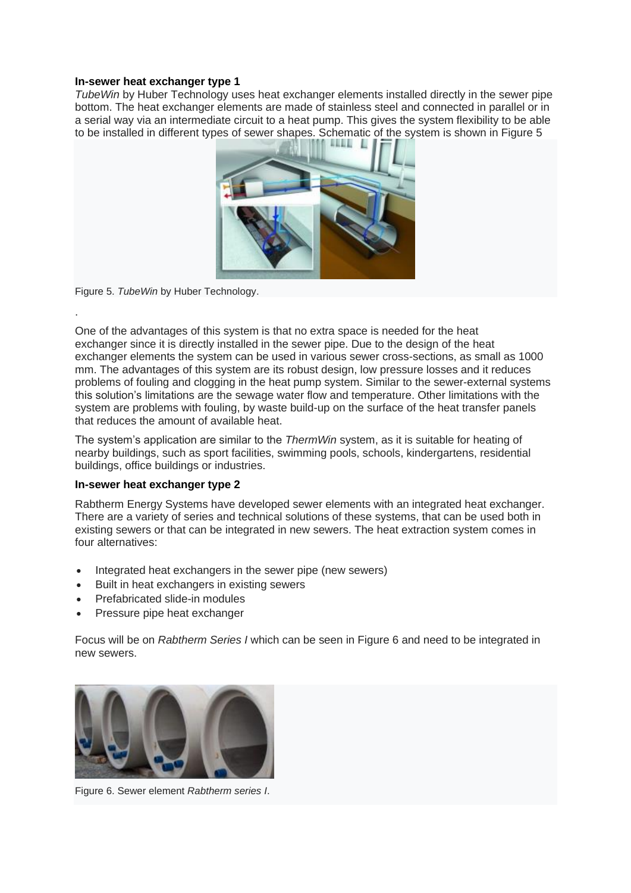#### **In-sewer heat exchanger type 1**

*TubeWin* by Huber Technology uses heat exchanger elements installed directly in the sewer pipe bottom. The heat exchanger elements are made of stainless steel and connected in parallel or in a serial way via an intermediate circuit to a heat pump. This gives the system flexibility to be able to be installed in different types of sewer shapes. Schematic of the system is shown in Figure 5



Figure 5. *TubeWin* by Huber Technology.

.

One of the advantages of this system is that no extra space is needed for the heat exchanger since it is directly installed in the sewer pipe. Due to the design of the heat exchanger elements the system can be used in various sewer cross-sections, as small as 1000 mm. The advantages of this system are its robust design, low pressure losses and it reduces problems of fouling and clogging in the heat pump system. Similar to the sewer-external systems this solution's limitations are the sewage water flow and temperature. Other limitations with the system are problems with fouling, by waste build-up on the surface of the heat transfer panels that reduces the amount of available heat.

The system's application are similar to the *ThermWin* system, as it is suitable for heating of nearby buildings, such as sport facilities, swimming pools, schools, kindergartens, residential buildings, office buildings or industries.

#### **In-sewer heat exchanger type 2**

Rabtherm Energy Systems have developed sewer elements with an integrated heat exchanger. There are a variety of series and technical solutions of these systems, that can be used both in existing sewers or that can be integrated in new sewers. The heat extraction system comes in four alternatives:

- Integrated heat exchangers in the sewer pipe (new sewers)
- Built in heat exchangers in existing sewers
- Prefabricated slide-in modules
- Pressure pipe heat exchanger

Focus will be on *Rabtherm Series I* which can be seen in Figure 6 and need to be integrated in new sewers.



Figure 6. Sewer element *Rabtherm series I*.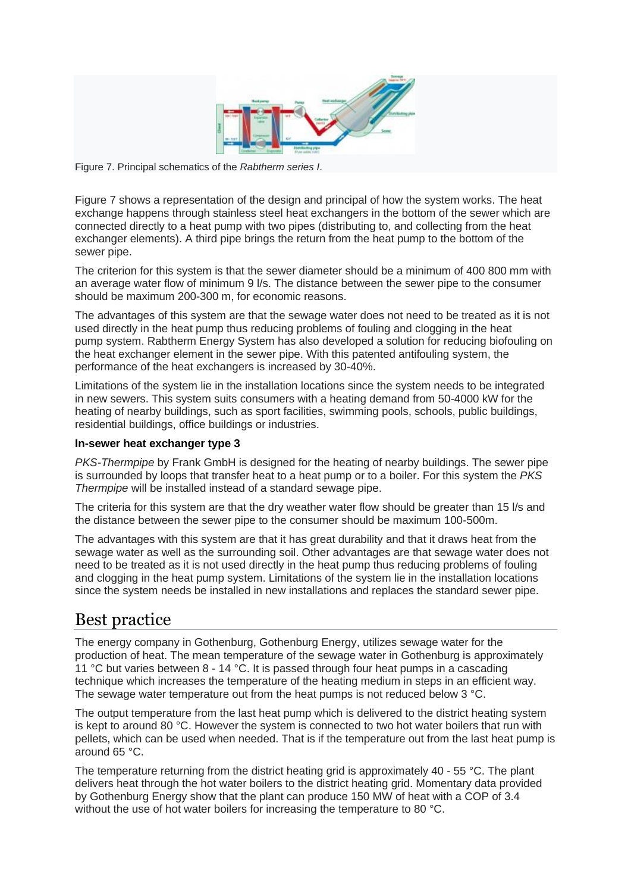

Figure 7. Principal schematics of the *Rabtherm series I*.

Figure 7 shows a representation of the design and principal of how the system works. The heat exchange happens through stainless steel heat exchangers in the bottom of the sewer which are connected directly to a heat pump with two pipes (distributing to, and collecting from the heat exchanger elements). A third pipe brings the return from the heat pump to the bottom of the sewer pipe.

The criterion for this system is that the sewer diameter should be a minimum of 400 800 mm with an average water flow of minimum 9 l/s. The distance between the sewer pipe to the consumer should be maximum 200-300 m, for economic reasons.

The advantages of this system are that the sewage water does not need to be treated as it is not used directly in the heat pump thus reducing problems of fouling and clogging in the heat pump system. Rabtherm Energy System has also developed a solution for reducing biofouling on the heat exchanger element in the sewer pipe. With this patented antifouling system, the performance of the heat exchangers is increased by 30-40%.

Limitations of the system lie in the installation locations since the system needs to be integrated in new sewers. This system suits consumers with a heating demand from 50-4000 kW for the heating of nearby buildings, such as sport facilities, swimming pools, schools, public buildings, residential buildings, office buildings or industries.

#### **In-sewer heat exchanger type 3**

*PKS-Thermpipe* by Frank GmbH is designed for the heating of nearby buildings. The sewer pipe is surrounded by loops that transfer heat to a heat pump or to a boiler. For this system the *PKS Thermpipe* will be installed instead of a standard sewage pipe.

The criteria for this system are that the dry weather water flow should be greater than 15 l/s and the distance between the sewer pipe to the consumer should be maximum 100-500m.

The advantages with this system are that it has great durability and that it draws heat from the sewage water as well as the surrounding soil. Other advantages are that sewage water does not need to be treated as it is not used directly in the heat pump thus reducing problems of fouling and clogging in the heat pump system. Limitations of the system lie in the installation locations since the system needs be installed in new installations and replaces the standard sewer pipe.

## Best practice

The energy company in Gothenburg, Gothenburg Energy, utilizes sewage water for the production of heat. The mean temperature of the sewage water in Gothenburg is approximately 11 °C but varies between 8 - 14 °C. It is passed through four heat pumps in a cascading technique which increases the temperature of the heating medium in steps in an efficient way. The sewage water temperature out from the heat pumps is not reduced below 3 °C.

The output temperature from the last heat pump which is delivered to the district heating system is kept to around 80 °C. However the system is connected to two hot water boilers that run with pellets, which can be used when needed. That is if the temperature out from the last heat pump is around 65 °C.

The temperature returning from the district heating grid is approximately 40 - 55 °C. The plant delivers heat through the hot water boilers to the district heating grid. Momentary data provided by Gothenburg Energy show that the plant can produce 150 MW of heat with a COP of 3.4 without the use of hot water boilers for increasing the temperature to 80 °C.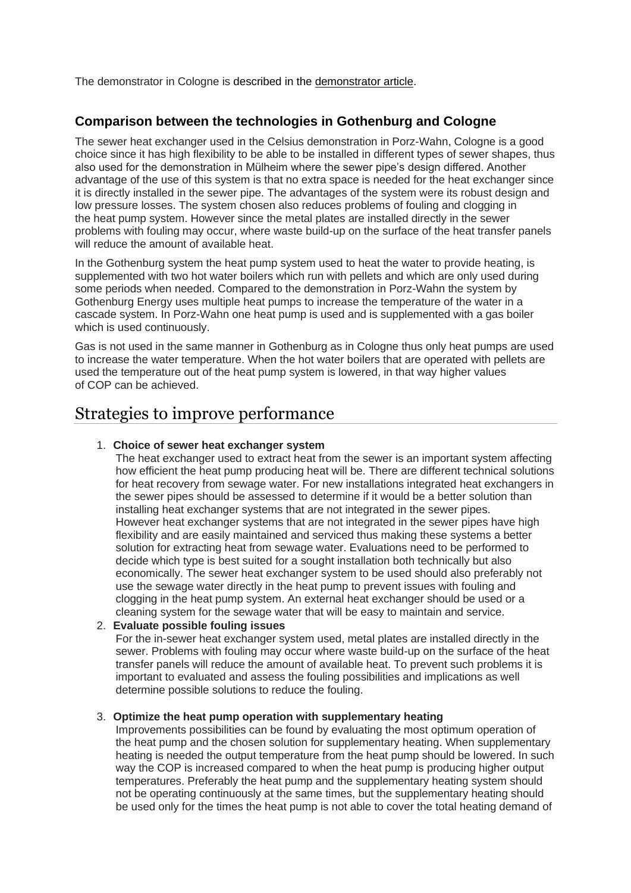The demonstrator in Cologne is described in the demonstrator article.

### **Comparison between the technologies in Gothenburg and Cologne**

The sewer heat exchanger used in the Celsius demonstration in Porz-Wahn, Cologne is a good choice since it has high flexibility to be able to be installed in different types of sewer shapes, thus also used for the demonstration in Mülheim where the sewer pipe's design differed. Another advantage of the use of this system is that no extra space is needed for the heat exchanger since it is directly installed in the sewer pipe. The advantages of the system were its robust design and low pressure losses. The system chosen also reduces problems of fouling and clogging in the heat pump system. However since the metal plates are installed directly in the sewer problems with fouling may occur, where waste build-up on the surface of the heat transfer panels will reduce the amount of available heat.

In the Gothenburg system the heat pump system used to heat the water to provide heating, is supplemented with two hot water boilers which run with pellets and which are only used during some periods when needed. Compared to the demonstration in Porz-Wahn the system by Gothenburg Energy uses multiple heat pumps to increase the temperature of the water in a cascade system. In Porz-Wahn one heat pump is used and is supplemented with a gas boiler which is used continuously.

Gas is not used in the same manner in Gothenburg as in Cologne thus only heat pumps are used to increase the water temperature. When the hot water boilers that are operated with pellets are used the temperature out of the heat pump system is lowered, in that way higher values of COP can be achieved.

## Strategies to improve performance

#### 1. **Choice of sewer heat exchanger system**

The heat exchanger used to extract heat from the sewer is an important system affecting how efficient the heat pump producing heat will be. There are different technical solutions for heat recovery from sewage water. For new installations integrated heat exchangers in the sewer pipes should be assessed to determine if it would be a better solution than installing heat exchanger systems that are not integrated in the sewer pipes. However heat exchanger systems that are not integrated in the sewer pipes have high flexibility and are easily maintained and serviced thus making these systems a better solution for extracting heat from sewage water. Evaluations need to be performed to decide which type is best suited for a sought installation both technically but also economically. The sewer heat exchanger system to be used should also preferably not use the sewage water directly in the heat pump to prevent issues with fouling and clogging in the heat pump system. An external heat exchanger should be used or a cleaning system for the sewage water that will be easy to maintain and service.

### 2. **Evaluate possible fouling issues**

For the in-sewer heat exchanger system used, metal plates are installed directly in the sewer. Problems with fouling may occur where waste build-up on the surface of the heat transfer panels will reduce the amount of available heat. To prevent such problems it is important to evaluated and assess the fouling possibilities and implications as well determine possible solutions to reduce the fouling.

#### 3. **Optimize the heat pump operation with supplementary heating**

Improvements possibilities can be found by evaluating the most optimum operation of the heat pump and the chosen solution for supplementary heating. When supplementary heating is needed the output temperature from the heat pump should be lowered. In such way the COP is increased compared to when the heat pump is producing higher output temperatures. Preferably the heat pump and the supplementary heating system should not be operating continuously at the same times, but the supplementary heating should be used only for the times the heat pump is not able to cover the total heating demand of